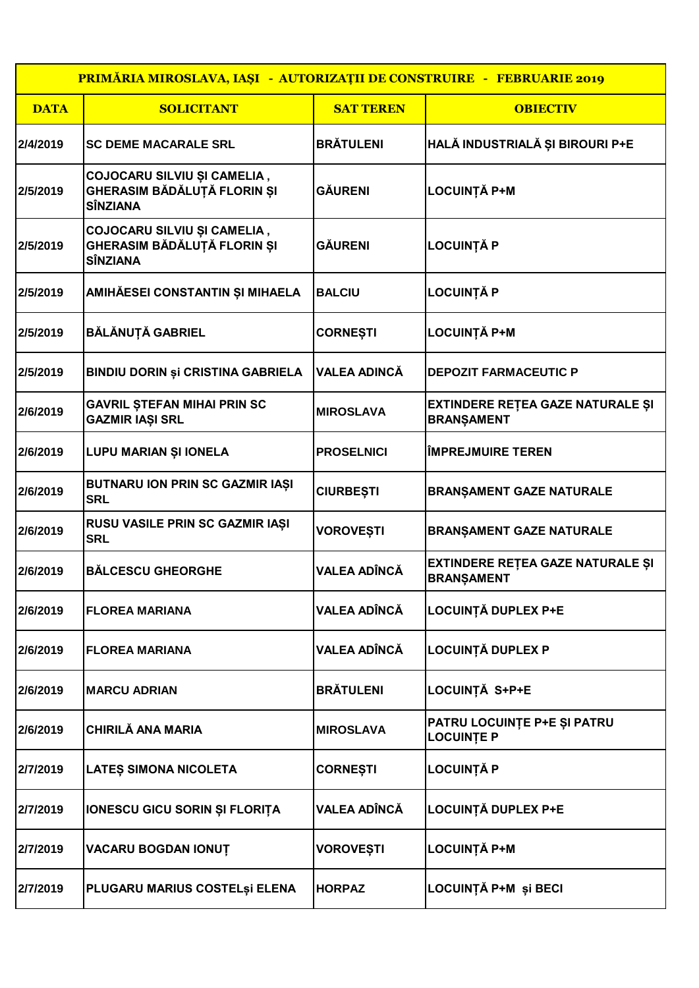| <b>PRIMĂRIA MIROSLAVA, IAȘI - AUTORIZAȚII DE CONSTRUIRE - FEBRUARIE 2019</b> |                                                                               |                     |                                                              |  |  |
|------------------------------------------------------------------------------|-------------------------------------------------------------------------------|---------------------|--------------------------------------------------------------|--|--|
| <b>DATA</b>                                                                  | <b>SOLICITANT</b>                                                             | <b>SAT TEREN</b>    | <b>OBIECTIV</b>                                              |  |  |
| 2/4/2019                                                                     | <b>SC DEME MACARALE SRL</b>                                                   | <b>BRÄTULENI</b>    | HALĂ INDUSTRIALĂ ȘI BIROURI P+E                              |  |  |
| 2/5/2019                                                                     | COJOCARU SILVIU ȘI CAMELIA,<br>GHERASIM BĂDĂLUȚĂ FLORIN ȘI<br><b>SÎNZIANA</b> | GĂURENI             | <b>LOCUINȚĂ P+M</b>                                          |  |  |
| 2/5/2019                                                                     | COJOCARU SILVIU ȘI CAMELIA,<br>GHERASIM BĂDĂLUȚĂ FLORIN ȘI<br><b>SÎNZIANA</b> | <b>GÄURENI</b>      | <b>LOCUINȚĂ P</b>                                            |  |  |
| 2/5/2019                                                                     | AMIHĂESEI CONSTANTIN ȘI MIHAELA                                               | <b>BALCIU</b>       | <b>LOCUINȚĂ P</b>                                            |  |  |
| 2/5/2019                                                                     | BĂLĂNUȚĂ GABRIEL                                                              | <b>CORNEȘTI</b>     | <b>LOCUINȚĂ P+M</b>                                          |  |  |
| 2/5/2019                                                                     | <b>BINDIU DORIN ȘI CRISTINA GABRIELA</b>                                      | <b>VALEA ADINCĂ</b> | <b>DEPOZIT FARMACEUTIC P</b>                                 |  |  |
| 2/6/2019                                                                     | <b>GAVRIL ȘTEFAN MIHAI PRIN SC</b><br><b>GAZMIR IAȘI SRL</b>                  | <b>MIROSLAVA</b>    | EXTINDERE REȚEA GAZE NATURALE ȘI<br><b>BRANŞAMENT</b>        |  |  |
| 2/6/2019                                                                     | <b>LUPU MARIAN ȘI IONELA</b>                                                  | <b>PROSELNICI</b>   | <b>IMPREJMUIRE TEREN</b>                                     |  |  |
| 2/6/2019                                                                     | <b>BUTNARU ION PRIN SC GAZMIR IAȘI</b><br><b>SRL</b>                          | <b>CIURBEȘTI</b>    | <b>BRANŞAMENT GAZE NATURALE</b>                              |  |  |
| 2/6/2019                                                                     | RUSU VASILE PRIN SC GAZMIR IAȘI<br><b>SRL</b>                                 | <b>VOROVEȘTI</b>    | <b>BRANŞAMENT GAZE NATURALE</b>                              |  |  |
| 2/6/2019                                                                     | <b>BĂLCESCU GHEORGHE</b>                                                      | <b>VALEA ADÎNCĂ</b> | <b>EXTINDERE RETEA GAZE NATURALE ȘI</b><br><b>BRANSAMENT</b> |  |  |
| 2/6/2019                                                                     | <b>FLOREA MARIANA</b>                                                         | <b>VALEA ADÎNCĂ</b> | LOCUINȚĂ DUPLEX P+E                                          |  |  |
| 2/6/2019                                                                     | <b>FLOREA MARIANA</b>                                                         | <b>VALEA ADÎNCĂ</b> | <b>LOCUINȚĂ DUPLEX P</b>                                     |  |  |
| 2/6/2019                                                                     | <b>MARCU ADRIAN</b>                                                           | <b>BRÄTULENI</b>    | LOCUINȚĂ S+P+E                                               |  |  |
| 2/6/2019                                                                     | <b>CHIRILĂ ANA MARIA</b>                                                      | <b>MIROSLAVA</b>    | PATRU LOCUINȚE P+E ȘI PATRU<br><b>LOCUINTE P</b>             |  |  |
| 2/7/2019                                                                     | LATEȘ SIMONA NICOLETA                                                         | <b>CORNEȘTI</b>     | <b>LOCUINȚĂ P</b>                                            |  |  |
| 2/7/2019                                                                     | IONESCU GICU SORIN ȘI FLORIȚA                                                 | <b>VALEA ADÎNCĂ</b> | <b>LOCUINȚĂ DUPLEX P+E</b>                                   |  |  |
| 2/7/2019                                                                     | VACARU BOGDAN IONUȚ                                                           | <b>VOROVEȘTI</b>    | <b>LOCUINȚĂ P+M</b>                                          |  |  |
| 2/7/2019                                                                     | PLUGARU MARIUS COSTELȘI ELENA                                                 | <b>HORPAZ</b>       | LOCUINȚĂ P+M și BECI                                         |  |  |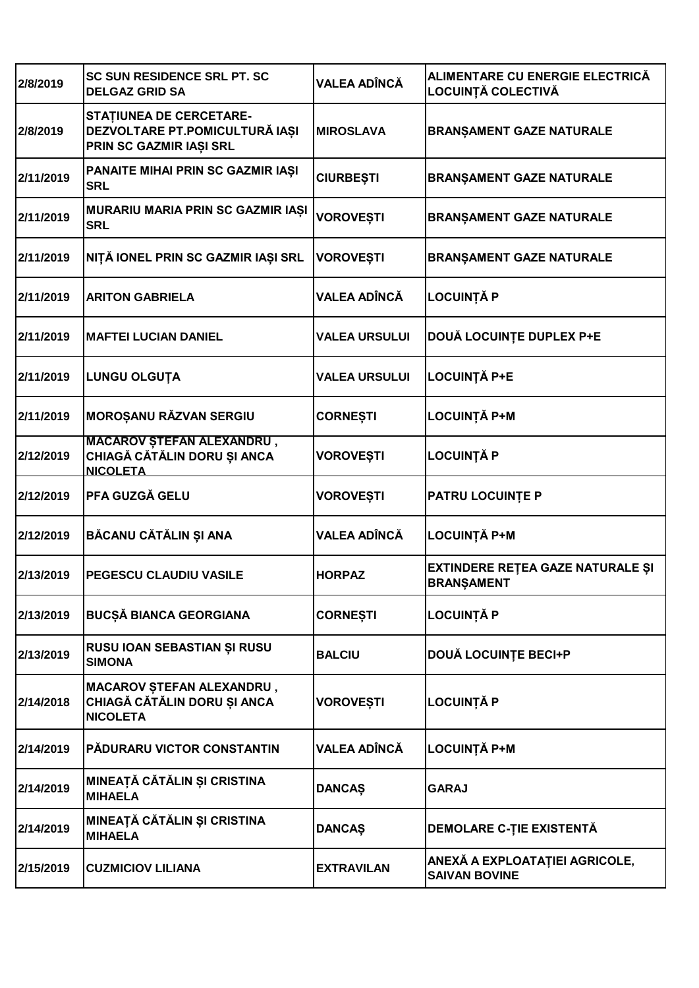| 2/8/2019  | <b>SC SUN RESIDENCE SRL PT. SC</b><br><b>DELGAZ GRID SA</b>                                 | <b>VALEA ADÎNCĂ</b>  | ALIMENTARE CU ENERGIE ELECTRICĂ<br>LOCUINȚĂ COLECTIVĂ  |
|-----------|---------------------------------------------------------------------------------------------|----------------------|--------------------------------------------------------|
| 2/8/2019  | <b>STATIUNEA DE CERCETARE-</b><br>DEZVOLTARE PT.POMICULTURĂ IAȘI<br>PRIN SC GAZMIR IAȘI SRL | <b>MIROSLAVA</b>     | <b>BRANŞAMENT GAZE NATURALE</b>                        |
| 2/11/2019 | PANAITE MIHAI PRIN SC GAZMIR IAȘI<br><b>SRL</b>                                             | <b>CIURBEȘTI</b>     | <b>BRANŞAMENT GAZE NATURALE</b>                        |
| 2/11/2019 | MURARIU MARIA PRIN SC GAZMIR IAȘI<br><b>SRL</b>                                             | <b>VOROVEȘTI</b>     | <b>BRANŞAMENT GAZE NATURALE</b>                        |
| 2/11/2019 | NIȚĂ IONEL PRIN SC GAZMIR IAȘI SRL                                                          | <b>VOROVEȘTI</b>     | <b>BRANŞAMENT GAZE NATURALE</b>                        |
| 2/11/2019 | <b>ARITON GABRIELA</b>                                                                      | <b>VALEA ADÎNCĂ</b>  | <b>LOCUINȚĂ P</b>                                      |
| 2/11/2019 | <b>MAFTEI LUCIAN DANIEL</b>                                                                 | <b>VALEA URSULUI</b> | DOUĂ LOCUINȚE DUPLEX P+E                               |
| 2/11/2019 | <b>LUNGU OLGUTA</b>                                                                         | <b>VALEA URSULUI</b> | <b>LOCUINȚĂ P+E</b>                                    |
| 2/11/2019 | <b>MOROȘANU RĂZVAN SERGIU</b>                                                               | <b>CORNEȘTI</b>      | <b>LOCUINȚĂ P+M</b>                                    |
| 2/12/2019 | <b>MACAROV ȘTEFAN ALEXANDRU,</b><br>CHIAGĂ CĂTĂLIN DORU ȘI ANCA<br><b>NICOLETA</b>          | <b>VOROVEȘTI</b>     | <b>LOCUINȚĂ P</b>                                      |
| 2/12/2019 | PFA GUZGĂ GELU                                                                              | VOROVEȘTI            | <b>PATRU LOCUINTE P</b>                                |
| 2/12/2019 | BĂCANU CĂTĂLIN ȘI ANA                                                                       | VALEA ADÎNCĂ         | <b>LOCUINȚĂ P+M</b>                                    |
| 2/13/2019 | <b>PEGESCU CLAUDIU VASILE</b>                                                               | <b>HORPAZ</b>        | EXTINDERE REȚEA GAZE NATURALE ȘI<br><b>BRANSAMENT</b>  |
| 2/13/2019 | <b>BUCȘĂ BIANCA GEORGIANA</b>                                                               | <b>CORNEȘTI</b>      | <b>LOCUINȚĂ P</b>                                      |
| 2/13/2019 | RUSU IOAN SEBASTIAN ȘI RUSU<br><b>SIMONA</b>                                                | <b>BALCIU</b>        | <b>DOUĂ LOCUINȚE BECI+P</b>                            |
| 2/14/2018 | <b>MACAROV STEFAN ALEXANDRU,</b><br>CHIAGĂ CĂTĂLIN DORU ȘI ANCA<br><b>NICOLETA</b>          | <b>VOROVEȘTI</b>     | <b>LOCUINȚĂ P</b>                                      |
| 2/14/2019 | PĂDURARU VICTOR CONSTANTIN                                                                  | VALEA ADÎNCĂ         | <b>LOCUINȚĂ P+M</b>                                    |
| 2/14/2019 | MINEAȚĂ CĂTĂLIN ȘI CRISTINA<br><b>MIHAELA</b>                                               | <b>DANCAŞ</b>        | <b>GARAJ</b>                                           |
| 2/14/2019 | MINEAȚĂ CĂTĂLIN ȘI CRISTINA<br><b>MIHAELA</b>                                               | <b>DANCAŞ</b>        | <b>DEMOLARE C-TIE EXISTENTĂ</b>                        |
| 2/15/2019 | <b>CUZMICIOV LILIANA</b>                                                                    | <b>EXTRAVILAN</b>    | ANEXĂ A EXPLOATAȚIEI AGRICOLE,<br><b>SAIVAN BOVINE</b> |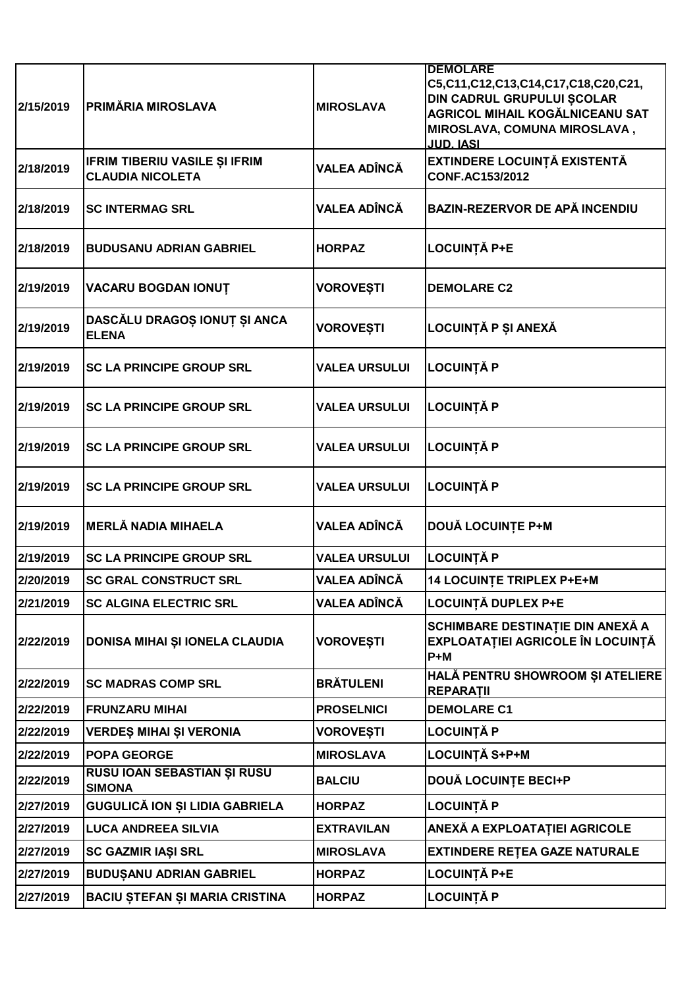| 2/15/2019 | PRIMĂRIA MIROSLAVA                                              | <b>MIROSLAVA</b>     | <b>DEMOLARE</b><br>C5,C11,C12,C13,C14,C17,C18,C20,C21,<br>DIN CADRUL GRUPULUI ȘCOLAR<br><b>AGRICOL MIHAIL KOGĂLNICEANU SAT</b><br>MIROSLAVA, COMUNA MIROSLAVA,<br><b>JUD. IASI</b> |
|-----------|-----------------------------------------------------------------|----------------------|------------------------------------------------------------------------------------------------------------------------------------------------------------------------------------|
| 2/18/2019 | <b>IFRIM TIBERIU VASILE ȘI IFRIM</b><br><b>CLAUDIA NICOLETA</b> | VALEA ADÎNCĂ         | EXTINDERE LOCUINȚĂ EXISTENTĂ<br><b>CONF.AC153/2012</b>                                                                                                                             |
| 2/18/2019 | <b>SC INTERMAG SRL</b>                                          | <b>VALEA ADÎNCĂ</b>  | <b>BAZIN-REZERVOR DE APĂ INCENDIU</b>                                                                                                                                              |
| 2/18/2019 | <b>BUDUSANU ADRIAN GABRIEL</b>                                  | <b>HORPAZ</b>        | <b>LOCUINȚĂ P+E</b>                                                                                                                                                                |
| 2/19/2019 | VACARU BOGDAN IONUT                                             | <b>VOROVEȘTI</b>     | <b>DEMOLARE C2</b>                                                                                                                                                                 |
| 2/19/2019 | DASCĂLU DRAGOȘ IONUȚ ȘI ANCA<br><b>ELENA</b>                    | <b>VOROVEȘTI</b>     | LOCUINȚĂ P ȘI ANEXĂ                                                                                                                                                                |
| 2/19/2019 | <b>SC LA PRINCIPE GROUP SRL</b>                                 | <b>VALEA URSULUI</b> | <b>LOCUINȚĂ P</b>                                                                                                                                                                  |
| 2/19/2019 | <b>SC LA PRINCIPE GROUP SRL</b>                                 | <b>VALEA URSULUI</b> | <b>LOCUINȚĂ P</b>                                                                                                                                                                  |
| 2/19/2019 | <b>SC LA PRINCIPE GROUP SRL</b>                                 | <b>VALEA URSULUI</b> | <b>LOCUINȚĂ P</b>                                                                                                                                                                  |
| 2/19/2019 | <b>SC LA PRINCIPE GROUP SRL</b>                                 | <b>VALEA URSULUI</b> | <b>LOCUINȚĂ P</b>                                                                                                                                                                  |
| 2/19/2019 | <b>MERLĂ NADIA MIHAELA</b>                                      | <b>VALEA ADÎNCĂ</b>  | <b>DOUĂ LOCUINȚE P+M</b>                                                                                                                                                           |
| 2/19/2019 | <b>SC LA PRINCIPE GROUP SRL</b>                                 | <b>VALEA URSULUI</b> | <b>LOCUINȚĂ P</b>                                                                                                                                                                  |
| 2/20/2019 | <b>SC GRAL CONSTRUCT SRL</b>                                    | <b>VALEA ADÎNCĂ</b>  | <b>14 LOCUINTE TRIPLEX P+E+M</b>                                                                                                                                                   |
| 2/21/2019 | <b>SC ALGINA ELECTRIC SRL</b>                                   | <b>VALEA ADÎNCĂ</b>  | <b>LOCUINȚĂ DUPLEX P+E</b>                                                                                                                                                         |
| 2/22/2019 | DONISA MIHAI ȘI IONELA CLAUDIA                                  | VOROVEȘTI            | SCHIMBARE DESTINAȚIE DIN ANEXĂ A<br>EXPLOATAȚIEI AGRICOLE ÎN LOCUINȚĂ<br>$P+M$                                                                                                     |
| 2/22/2019 | <b>SC MADRAS COMP SRL</b>                                       | <b>BRĂTULENI</b>     | HALĂ PENTRU SHOWROOM ȘI ATELIERE<br><b>REPARATII</b>                                                                                                                               |
| 2/22/2019 | <b>FRUNZARU MIHAI</b>                                           | <b>PROSELNICI</b>    | <b>DEMOLARE C1</b>                                                                                                                                                                 |
| 2/22/2019 | VERDEŞ MIHAI ŞI VERONIA                                         | VOROVEȘTI            | <b>LOCUINȚĂ P</b>                                                                                                                                                                  |
| 2/22/2019 | <b>POPA GEORGE</b>                                              | <b>MIROSLAVA</b>     | LOCUINȚĂ S+P+M                                                                                                                                                                     |
| 2/22/2019 | RUSU IOAN SEBASTIAN ȘI RUSU<br><b>SIMONA</b>                    | <b>BALCIU</b>        | <b>DOUĂ LOCUINȚE BECI+P</b>                                                                                                                                                        |
| 2/27/2019 | GUGULICĂ ION ȘI LIDIA GABRIELA                                  | <b>HORPAZ</b>        | <b>LOCUINȚĂ P</b>                                                                                                                                                                  |
| 2/27/2019 | <b>LUCA ANDREEA SILVIA</b>                                      | <b>EXTRAVILAN</b>    | ANEXĂ A EXPLOATAȚIEI AGRICOLE                                                                                                                                                      |
| 2/27/2019 | SC GAZMIR IAȘI SRL                                              | <b>MIROSLAVA</b>     | <b>EXTINDERE REȚEA GAZE NATURALE</b>                                                                                                                                               |
| 2/27/2019 | <b>BUDUȘANU ADRIAN GABRIEL</b>                                  | <b>HORPAZ</b>        | <b>LOCUINȚĂ P+E</b>                                                                                                                                                                |
| 2/27/2019 | <b>BACIU ȘTEFAN ȘI MARIA CRISTINA</b>                           | <b>HORPAZ</b>        | <b>LOCUINȚĂ P</b>                                                                                                                                                                  |